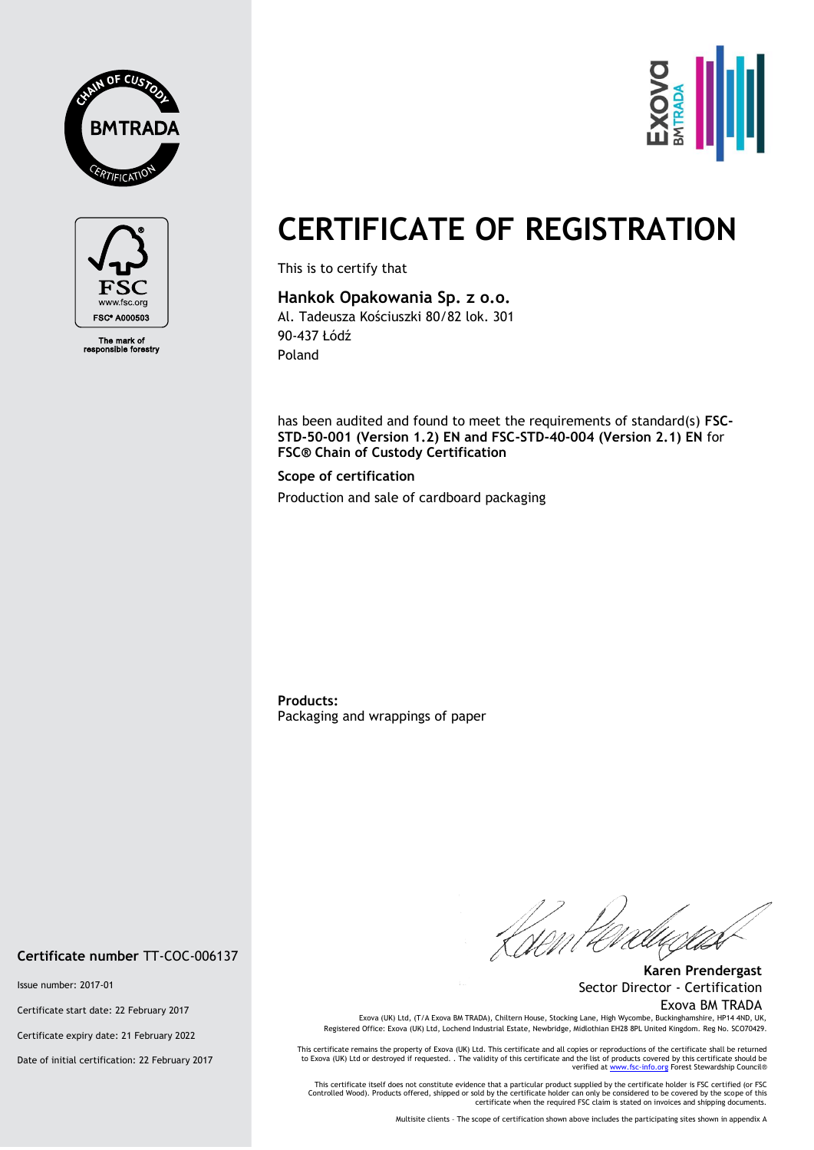



The mark of<br>ponsible fore



# **CERTIFICATE OF REGISTRATION**

This is to certify that

# **Hankok Opakowania Sp. z o.o.**

Al. Tadeusza Kościuszki 80/82 lok. 301 90-437 Łódź Poland

has been audited and found to meet the requirements of standard(s) **FSC-STD-50-001 (Version 1.2) EN and FSC-STD-40-004 (Version 2.1) EN** for **FSC® Chain of Custody Certification**

### **Scope of certification**

Production and sale of cardboard packaging

**Products:** Packaging and wrappings of paper

**Certificate number** TT-COC-006137

Issue number: 2017-01

Certificate start date: 22 February 2017

Certificate expiry date: 21 February 2022

Date of initial certification: 22 February 2017

**Karen Prendergast** Sector Director - Certification Exova BM TRADA

Exova (UK) Ltd, (T/A Exova BM TRADA), Chiltern House, Stocking Lane, High Wycombe, Buckinghamshire, HP14 4ND, UK, Registered Office: Exova (UK) Ltd, Lochend Industrial Estate, Newbridge, Midlothian EH28 8PL United Kingdom. Reg No. SCO70429.

This certificate remains the property of Exova (UK) Ltd. This certificate and all copies or reproductions of the certificate shall be returned<br>to Exova (UK) Ltd or destroyed if requested. . The validity of this certificate verified a[t www.fsc-info.org](http://www.fsc-info.org/) Forest Stewardship Council®

This certificate itself does not constitute evidence that a particular product supplied by the certificate holder is FSC certified (or FSC<br>Controlled Wood). Products offered, shipped or sold by the certificate holder can o certificate when the required FSC claim is stated on invoices and shipping documents.

Multisite clients – The scope of certification shown above includes the participating sites shown in appendix A